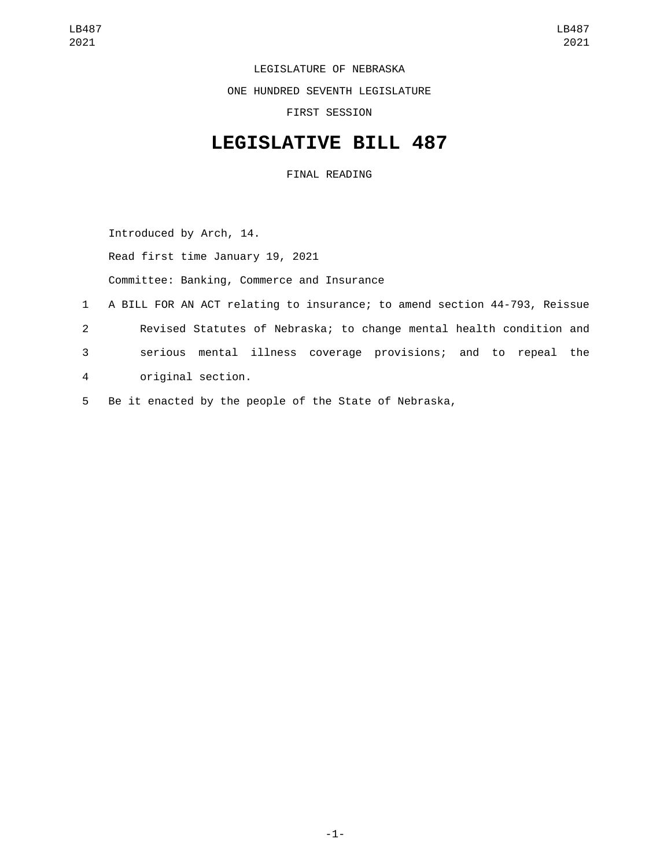LEGISLATURE OF NEBRASKA

ONE HUNDRED SEVENTH LEGISLATURE

FIRST SESSION

## **LEGISLATIVE BILL 487**

FINAL READING

Introduced by Arch, 14.

Read first time January 19, 2021

Committee: Banking, Commerce and Insurance

- 1 A BILL FOR AN ACT relating to insurance; to amend section 44-793, Reissue 2 Revised Statutes of Nebraska; to change mental health condition and 3 serious mental illness coverage provisions; and to repeal the original section.4
- 5 Be it enacted by the people of the State of Nebraska,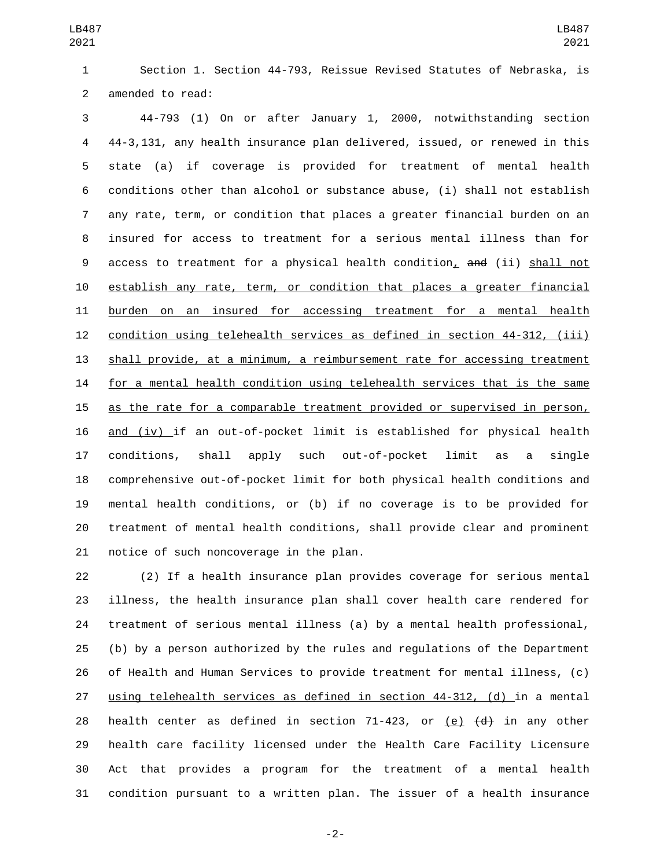Section 1. Section 44-793, Reissue Revised Statutes of Nebraska, is 2 amended to read:

 44-793 (1) On or after January 1, 2000, notwithstanding section 44-3,131, any health insurance plan delivered, issued, or renewed in this state (a) if coverage is provided for treatment of mental health conditions other than alcohol or substance abuse, (i) shall not establish any rate, term, or condition that places a greater financial burden on an insured for access to treatment for a serious mental illness than for 9 access to treatment for a physical health condition, and (ii) shall not establish any rate, term, or condition that places a greater financial burden on an insured for accessing treatment for a mental health condition using telehealth services as defined in section 44-312, (iii) shall provide, at a minimum, a reimbursement rate for accessing treatment for a mental health condition using telehealth services that is the same as the rate for a comparable treatment provided or supervised in person, and (iv) if an out-of-pocket limit is established for physical health conditions, shall apply such out-of-pocket limit as a single comprehensive out-of-pocket limit for both physical health conditions and mental health conditions, or (b) if no coverage is to be provided for treatment of mental health conditions, shall provide clear and prominent 21 notice of such noncoverage in the plan.

 (2) If a health insurance plan provides coverage for serious mental illness, the health insurance plan shall cover health care rendered for treatment of serious mental illness (a) by a mental health professional, (b) by a person authorized by the rules and regulations of the Department of Health and Human Services to provide treatment for mental illness, (c) using telehealth services as defined in section 44-312, (d) in a mental 28 health center as defined in section 71-423, or  $(e)$   $\{d\}$  in any other health care facility licensed under the Health Care Facility Licensure Act that provides a program for the treatment of a mental health condition pursuant to a written plan. The issuer of a health insurance

-2-